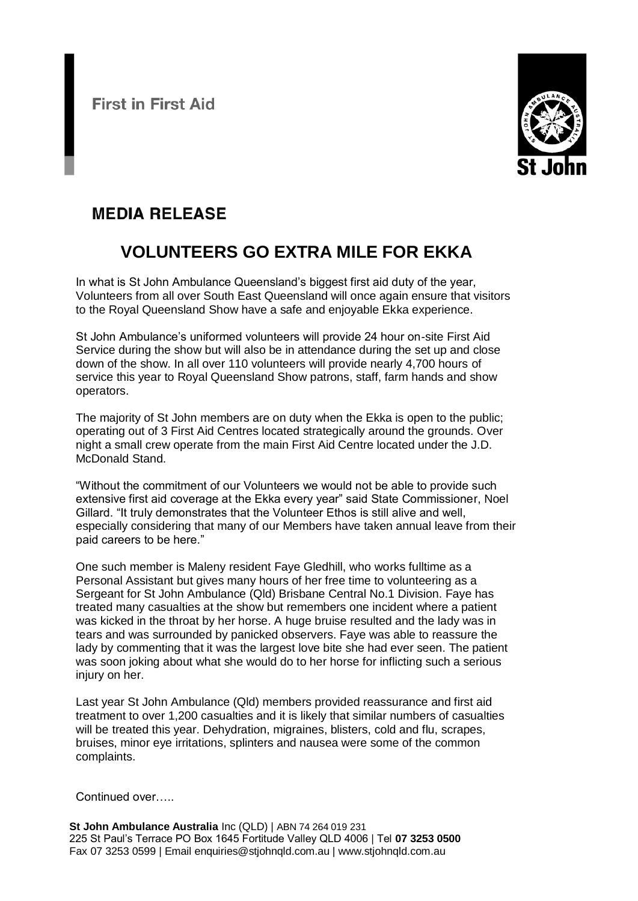**First in First Aid** 



## **MEDIA RELEASE**

## **VOLUNTEERS GO EXTRA MILE FOR EKKA**

In what is St John Ambulance Queensland's biggest first aid duty of the year, Volunteers from all over South East Queensland will once again ensure that visitors to the Royal Queensland Show have a safe and enjoyable Ekka experience.

St John Ambulance's uniformed volunteers will provide 24 hour on-site First Aid Service during the show but will also be in attendance during the set up and close down of the show. In all over 110 volunteers will provide nearly 4,700 hours of service this year to Royal Queensland Show patrons, staff, farm hands and show operators.

The majority of St John members are on duty when the Ekka is open to the public; operating out of 3 First Aid Centres located strategically around the grounds. Over night a small crew operate from the main First Aid Centre located under the J.D. McDonald Stand.

"Without the commitment of our Volunteers we would not be able to provide such extensive first aid coverage at the Ekka every year" said State Commissioner, Noel Gillard. "It truly demonstrates that the Volunteer Ethos is still alive and well, especially considering that many of our Members have taken annual leave from their paid careers to be here."

One such member is Maleny resident Faye Gledhill, who works fulltime as a Personal Assistant but gives many hours of her free time to volunteering as a Sergeant for St John Ambulance (Qld) Brisbane Central No.1 Division. Faye has treated many casualties at the show but remembers one incident where a patient was kicked in the throat by her horse. A huge bruise resulted and the lady was in tears and was surrounded by panicked observers. Faye was able to reassure the lady by commenting that it was the largest love bite she had ever seen. The patient was soon joking about what she would do to her horse for inflicting such a serious injury on her.

Last year St John Ambulance (Qld) members provided reassurance and first aid treatment to over 1,200 casualties and it is likely that similar numbers of casualties will be treated this year. Dehydration, migraines, blisters, cold and flu, scrapes, bruises, minor eye irritations, splinters and nausea were some of the common complaints.

Continued over…..

**St John Ambulance Australia** Inc (QLD) | ABN 74 264 019 231 225 St Paul's Terrace PO Box 1645 Fortitude Valley QLD 4006 | Tel **07 3253 0500** Fax 07 3253 0599 | Email enquiries@stjohnqld.com.au | www.stjohnqld.com.au